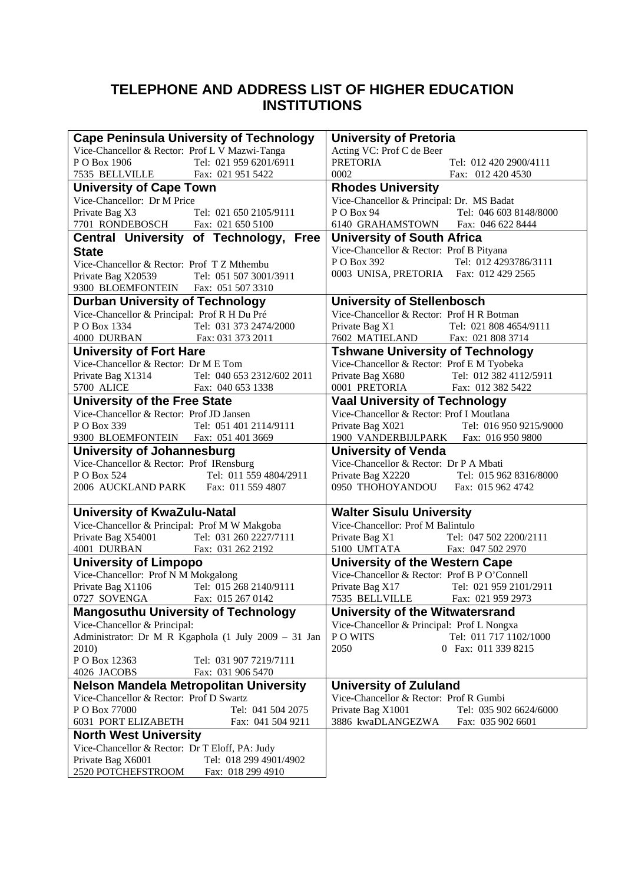#### **TELEPHONE AND ADDRESS LIST OF HIGHER EDUCATION INSTITUTIONS**

| <b>Cape Peninsula University of Technology</b>                             | <b>University of Pretoria</b>                                                                |
|----------------------------------------------------------------------------|----------------------------------------------------------------------------------------------|
| Vice-Chancellor & Rector: Prof L V Mazwi-Tanga                             | Acting VC: Prof C de Beer                                                                    |
| PO Box 1906<br>Tel: 021 959 6201/6911                                      | Tel: 012 420 2900/4111                                                                       |
| 7535 BELLVILLE Fax: 021 951 5422                                           | PRETORIA<br>Fax: 012 420 4530                                                                |
| <b>University of Cape Town</b>                                             | <b>Rhodes University</b>                                                                     |
| Vice-Chancellor: Dr M Price                                                | Vice-Chancellor & Principal: Dr. MS Badat                                                    |
| Private Bag X3<br>Tel: 021 650 2105/9111                                   | PO Box 94<br>Tel: 046 603 8148/8000                                                          |
| 7701 RONDEBOSCH Fax: 021 650 5100                                          | 6140 GRAHAMSTOWN Fax: 046 622 8444                                                           |
| Central University of Technology, Free                                     | <b>University of South Africa</b>                                                            |
| <b>State</b>                                                               | Vice-Chancellor & Rector: Prof B Pityana                                                     |
| Vice-Chancellor & Rector: Prof TZ Mthembu                                  | P O Box 392<br>Tel: 012 4293786/3111                                                         |
| Private Bag X20539<br>Tel: 051 507 3001/3911                               | 0003 UNISA, PRETORIA Fax: 012 429 2565                                                       |
| 9300 BLOEMFONTEIN Fax: 051 507 3310                                        |                                                                                              |
| <b>Durban University of Technology</b>                                     | <b>University of Stellenbosch</b>                                                            |
| Vice-Chancellor & Principal: Prof R H Du Pré                               | Vice-Chancellor & Rector: Prof H R Botman                                                    |
| Tel: 031 373 2474/2000                                                     | Private Bag X1<br>Tel: 021 808 4654/9111                                                     |
| P O Box 1334 Tel: 031 373 2474/.<br>4000 DURBAN Fax: 031 373 2011          | 7602 MATIELAND Fax: 021 808 3714                                                             |
| <b>University of Fort Hare</b>                                             | <b>Tshwane University of Technology</b>                                                      |
| Vice-Chancellor & Rector: Dr M E Tom                                       | Vice-Chancellor & Rector: Prof E M Tyobeka                                                   |
| Private Bag X1314<br>Tel: 040 653 2312/602 2011                            | Private Bag X680 Tel: 012 382 4112/5911                                                      |
| Fax: 040 653 1338<br>5700 ALICE                                            | 0001 PRETORIA Fax: 012 382 5422                                                              |
| <b>University of the Free State</b>                                        | <b>Vaal University of Technology</b>                                                         |
| Vice-Chancellor & Rector: Prof JD Jansen                                   | Vice-Chancellor & Rector: Prof I Moutlana                                                    |
| P O Box 339<br>Tel: 051 401 2114/9111                                      | Private Bag X021<br>Tel: 016 950 9215/9000                                                   |
| 9300 BLOEMFONTEIN Fax: 051 401 3669                                        | 1900 VANDERBIJLPARK Fax: 016 950 9800                                                        |
|                                                                            |                                                                                              |
| <b>University of Johannesburg</b>                                          | <b>University of Venda</b>                                                                   |
| Vice-Chancellor & Rector: Prof IRensburg                                   | Vice-Chancellor & Rector: Dr P A Mbati                                                       |
| P O Box 524<br>Tel: 011 559 4804/2911                                      | Private Bag X2220 Tel: 015 962 8316/8000                                                     |
| 2006 AUCKLAND PARK Fax: 011 559 4807                                       | 0950 THOHOYANDOU Fax: 015 962 4742                                                           |
| University of KwaZulu-Natal                                                | <b>Walter Sisulu University</b>                                                              |
| Vice-Chancellor & Principal: Prof M W Makgoba                              | Vice-Chancellor: Prof M Balintulo                                                            |
| Private Bag X54001 Tel: 031 260 2227/7111<br>4001 DURBAN Fax: 031 262 2192 | Private Bag X1 Tel: 047 502 2200/<br>5100 UMTATA Fax: 047 502 2970<br>Tel: 047 502 2200/2111 |
|                                                                            |                                                                                              |
| <b>University of Limpopo</b>                                               | <b>University of the Western Cape</b>                                                        |
| Vice-Chancellor: Prof N M Mokgalong                                        | Vice-Chancellor & Rector: Prof B P O'Connell                                                 |
| Private Bag X1106 Tel: 015 268 2140/9111                                   | Private Bag $X17$<br>Tel: 021 959 2101/2911                                                  |
| 0727 SOVENGA Fax: 015 267 0142                                             | 7535 BELLVILLE Fax: 021 959 2973                                                             |
| <b>Mangosuthu University of Technology</b>                                 | University of the Witwatersrand                                                              |
| Vice-Chancellor & Principal:                                               | Vice-Chancellor & Principal: Prof L Nongxa                                                   |
| Administrator: Dr M R Kgaphola (1 July 2009 - 31 Jan                       | PO WITS<br>Tel: 011 717 1102/1000                                                            |
| 2010)                                                                      | 2050<br>0 Fax: 011 339 8215                                                                  |
| PO Box 12363<br>Tel: 031 907 7219/7111                                     |                                                                                              |
| 4026 JACOBS<br>Fax: 031 906 5470                                           |                                                                                              |
| <b>Nelson Mandela Metropolitan University</b>                              | <b>University of Zululand</b>                                                                |
| Vice-Chancellor & Rector: Prof D Swartz                                    | Vice-Chancellor & Rector: Prof R Gumbi                                                       |
| P O Box 77000<br>Tel: 041 504 2075                                         | Private Bag X1001<br>Tel: 035 902 6624/6000                                                  |
| 6031 PORT ELIZABETH<br>Fax: 041 504 9211                                   | 3886 kwaDLANGEZWA<br>Fax: 035 902 6601                                                       |
| <b>North West University</b>                                               |                                                                                              |
| Vice-Chancellor & Rector: Dr T Eloff, PA: Judy                             |                                                                                              |
| Private Bag X6001<br>Tel: 018 299 4901/4902                                |                                                                                              |
| 2520 POTCHEFSTROOM<br>Fax: 018 299 4910                                    |                                                                                              |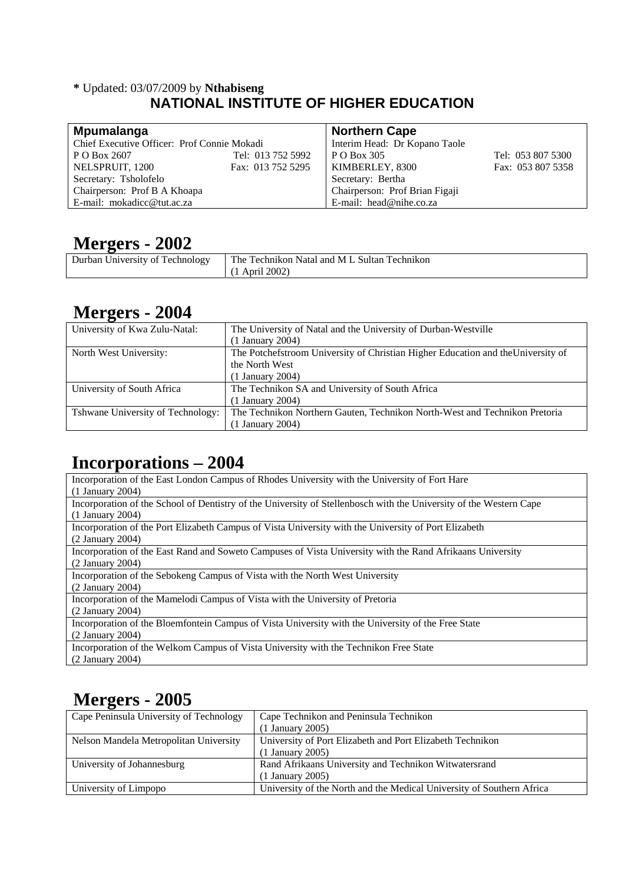#### **\*** Updated: 03/07/2009 by **Nthabiseng NATIONAL INSTITUTE OF HIGHER EDUCATION**

| Mpumalanga                                  |                   | <b>Northern Cape</b>           |                   |
|---------------------------------------------|-------------------|--------------------------------|-------------------|
| Chief Executive Officer: Prof Connie Mokadi |                   | Interim Head: Dr Kopano Taole  |                   |
| P O Box 2607                                | Tel: 013 752 5992 | P O Box 305                    | Tel: 053 807 5300 |
| NELSPRUIT, 1200                             | Fax: 013 752 5295 | KIMBERLEY, 8300                | Fax: 053 807 5358 |
| Secretary: Tsholofelo                       |                   | Secretary: Bertha              |                   |
| Chairperson: Prof B A Khoapa                |                   | Chairperson: Prof Brian Figaji |                   |
| E-mail: mokadicc@tut.ac.za                  |                   | E-mail: $head@nihe.co.za$      |                   |

### **Mergers - 2002**

| Durban<br>University of<br>Technology | The<br>-Sultan-<br>Fechnikon.<br>Technikon<br>Natal and<br>M L |
|---------------------------------------|----------------------------------------------------------------|
|                                       | 2002<br>Apri.                                                  |

#### **Mergers - 2004**

| . .<br>University of Kwa Zulu-Natal: | The University of Natal and the University of Durban-Westville                   |
|--------------------------------------|----------------------------------------------------------------------------------|
|                                      | (1 January 2004)                                                                 |
| North West University:               | The Potchefstroom University of Christian Higher Education and the University of |
|                                      | the North West                                                                   |
|                                      | (1 January 2004)                                                                 |
| University of South Africa           | The Technikon SA and University of South Africa                                  |
|                                      | (1 January 2004)                                                                 |
| Tshwane University of Technology:    | The Technikon Northern Gauten, Technikon North-West and Technikon Pretoria       |
|                                      | (1 January 2004)                                                                 |

### **Incorporations – 2004**

| Incorporation of the East London Campus of Rhodes University with the University of Fort Hare                      |
|--------------------------------------------------------------------------------------------------------------------|
| $(1$ January 2004)                                                                                                 |
| Incorporation of the School of Dentistry of the University of Stellenbosch with the University of the Western Cape |
| $(1$ January 2004)                                                                                                 |
| Incorporation of the Port Elizabeth Campus of Vista University with the University of Port Elizabeth               |
| $(2$ January 2004)                                                                                                 |
| Incorporation of the East Rand and Soweto Campuses of Vista University with the Rand Afrikaans University          |
| $(2$ January 2004)                                                                                                 |
| Incorporation of the Sebokeng Campus of Vista with the North West University                                       |
| $(2$ January 2004)                                                                                                 |
| Incorporation of the Mamelodi Campus of Vista with the University of Pretoria                                      |
| $(2$ January 2004)                                                                                                 |
| Incorporation of the Bloemfontein Campus of Vista University with the University of the Free State                 |
| $(2$ January 2004)                                                                                                 |
| Incorporation of the Welkom Campus of Vista University with the Technikon Free State                               |
| $(2$ January 2004)                                                                                                 |

## **Mergers - 2005**

| Cape Peninsula University of Technology | Cape Technikon and Peninsula Technikon                                |
|-----------------------------------------|-----------------------------------------------------------------------|
|                                         | $(1$ January 2005)                                                    |
| Nelson Mandela Metropolitan University  | University of Port Elizabeth and Port Elizabeth Technikon             |
|                                         | $(1$ January 2005)                                                    |
| University of Johannesburg              | Rand Afrikaans University and Technikon Witwatersrand                 |
|                                         | $(1$ January 2005)                                                    |
| University of Limpopo                   | University of the North and the Medical University of Southern Africa |